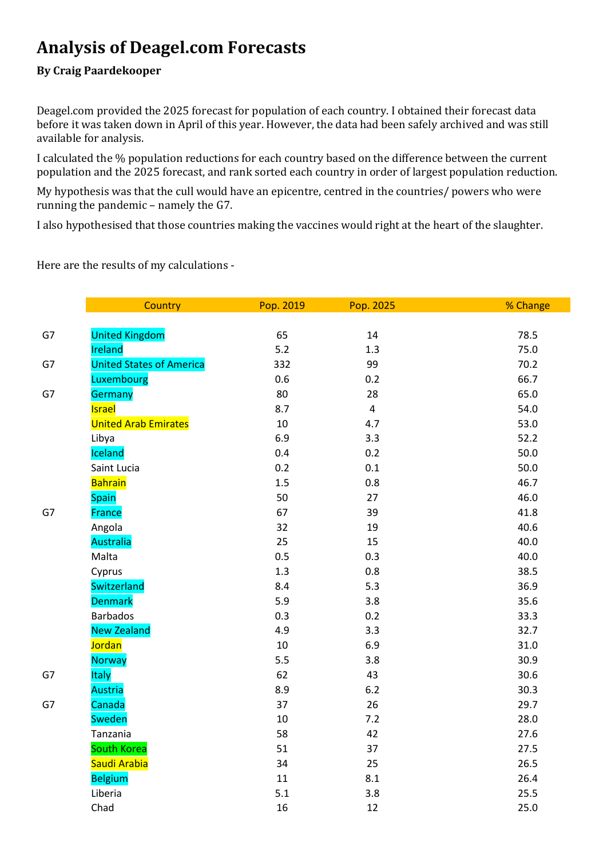# **Analysis of Deagel.com Forecasts**

## **By Craig Paardekooper**

Deagel.com provided the 2025 forecast for population of each country. I obtained their forecast data before it was taken down in April of this year. However, the data had been safely archived and was still available for analysis.

I calculated the % population reductions for each country based on the difference between the current population and the 2025 forecast, and rank sorted each country in order of largest population reduction.

My hypothesis was that the cull would have an epicentre, centred in the countries/ powers who were running the pandemic – namely the G7.

I also hypothesised that those countries making the vaccines would right at the heart of the slaughter.

Here are the results of my calculations -

|    | Country                         | Pop. 2019 | Pop. 2025      | % Change |
|----|---------------------------------|-----------|----------------|----------|
|    |                                 |           |                |          |
| G7 | <b>United Kingdom</b>           | 65        | 14             | 78.5     |
|    | Ireland                         | $5.2$     | 1.3            | 75.0     |
| G7 | <b>United States of America</b> | 332       | 99             | 70.2     |
|    | Luxembourg                      | 0.6       | 0.2            | 66.7     |
| G7 | Germany                         | 80        | 28             | 65.0     |
|    | <b>Israel</b>                   | 8.7       | $\overline{4}$ | 54.0     |
|    | <b>United Arab Emirates</b>     | 10        | 4.7            | 53.0     |
|    | Libya                           | 6.9       | 3.3            | 52.2     |
|    | Iceland                         | 0.4       | 0.2            | 50.0     |
|    | Saint Lucia                     | 0.2       | 0.1            | 50.0     |
|    | <b>Bahrain</b>                  | 1.5       | 0.8            | 46.7     |
|    | <b>Spain</b>                    | 50        | 27             | 46.0     |
| G7 | <b>France</b>                   | 67        | 39             | 41.8     |
|    | Angola                          | 32        | 19             | 40.6     |
|    | <b>Australia</b>                | 25        | 15             | 40.0     |
|    | Malta                           | 0.5       | 0.3            | 40.0     |
|    | Cyprus                          | 1.3       | 0.8            | 38.5     |
|    | Switzerland                     | 8.4       | 5.3            | 36.9     |
|    | <b>Denmark</b>                  | 5.9       | 3.8            | 35.6     |
|    | <b>Barbados</b>                 | 0.3       | 0.2            | 33.3     |
|    | <b>New Zealand</b>              | 4.9       | 3.3            | 32.7     |
|    | <b>Jordan</b>                   | 10        | 6.9            | 31.0     |
|    | <b>Norway</b>                   | 5.5       | 3.8            | 30.9     |
| G7 | <b>Italy</b>                    | 62        | 43             | 30.6     |
|    | <b>Austria</b>                  | 8.9       | $6.2$          | 30.3     |
| G7 | Canada                          | 37        | 26             | 29.7     |
|    | <b>Sweden</b>                   | 10        | 7.2            | 28.0     |
|    | Tanzania                        | 58        | 42             | 27.6     |
|    | <b>South Korea</b>              | 51        | 37             | 27.5     |
|    | Saudi Arabia                    | 34        | 25             | 26.5     |
|    | <b>Belgium</b>                  | 11        | 8.1            | 26.4     |
|    | Liberia                         | 5.1       | 3.8            | 25.5     |
|    | Chad                            | 16        | 12             | 25.0     |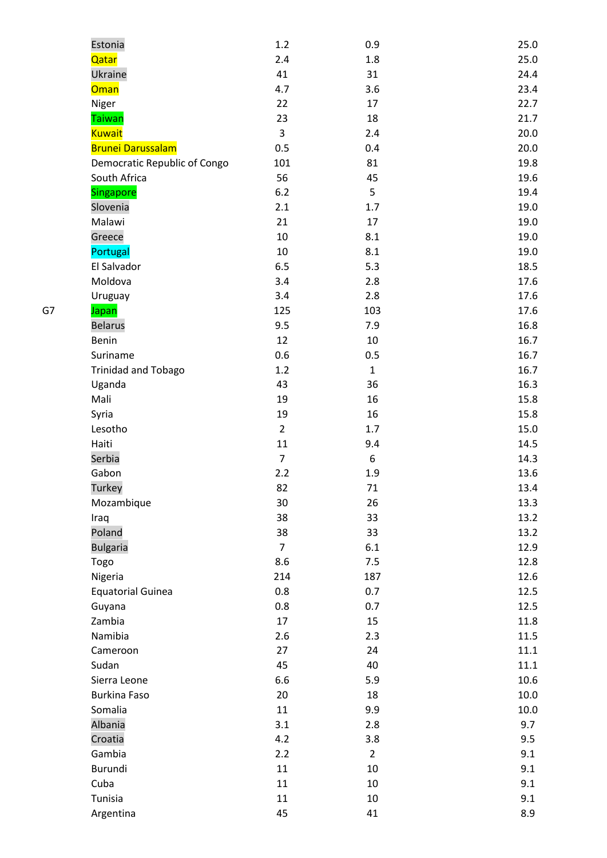|    | Estonia                      | 1.2            | 0.9            | 25.0 |
|----|------------------------------|----------------|----------------|------|
|    | Qatar                        | 2.4            | 1.8            | 25.0 |
|    | Ukraine                      | 41             | 31             | 24.4 |
|    | <b>Oman</b>                  | 4.7            | 3.6            | 23.4 |
|    | Niger                        | 22             | 17             | 22.7 |
|    | <b>Taiwan</b>                | 23             | 18             | 21.7 |
|    | <b>Kuwait</b>                | 3              | 2.4            | 20.0 |
|    | <b>Brunei Darussalam</b>     | 0.5            | 0.4            | 20.0 |
|    | Democratic Republic of Congo | 101            | 81             | 19.8 |
|    | South Africa                 | 56             | 45             | 19.6 |
|    | Singapore                    | 6.2            | 5              | 19.4 |
|    | Slovenia                     | 2.1            | 1.7            | 19.0 |
|    | Malawi                       | 21             | 17             | 19.0 |
|    | Greece                       | 10             | 8.1            | 19.0 |
|    | Portugal                     | 10             | 8.1            | 19.0 |
|    | El Salvador                  | 6.5            | 5.3            | 18.5 |
|    | Moldova                      | 3.4            | 2.8            | 17.6 |
|    | Uruguay                      | 3.4            | 2.8            | 17.6 |
| G7 |                              | 125            | 103            | 17.6 |
|    | Japan                        |                |                | 16.8 |
|    | <b>Belarus</b>               | 9.5            | 7.9            |      |
|    | Benin                        | 12             | 10             | 16.7 |
|    | Suriname                     | 0.6            | 0.5            | 16.7 |
|    | <b>Trinidad and Tobago</b>   | 1.2            | $\mathbf 1$    | 16.7 |
|    | Uganda                       | 43             | 36             | 16.3 |
|    | Mali                         | 19             | 16             | 15.8 |
|    | Syria                        | 19             | 16             | 15.8 |
|    | Lesotho                      | $\overline{2}$ | 1.7            | 15.0 |
|    | Haiti                        | $11\,$         | 9.4            | 14.5 |
|    | Serbia                       | $\overline{7}$ | 6              | 14.3 |
|    | Gabon                        | 2.2            | 1.9            | 13.6 |
|    | Turkey                       | 82             | 71             | 13.4 |
|    | Mozambique                   | 30             | 26             | 13.3 |
|    | Iraq                         | 38             | 33             | 13.2 |
|    | Poland                       | 38             | 33             | 13.2 |
|    | <b>Bulgaria</b>              | $\overline{7}$ | 6.1            | 12.9 |
|    | Togo                         | 8.6            | 7.5            | 12.8 |
|    | Nigeria                      | 214            | 187            | 12.6 |
|    | <b>Equatorial Guinea</b>     | 0.8            | 0.7            | 12.5 |
|    | Guyana                       | 0.8            | 0.7            | 12.5 |
|    | Zambia                       | 17             | 15             | 11.8 |
|    | Namibia                      | 2.6            | 2.3            | 11.5 |
|    | Cameroon                     | 27             | 24             | 11.1 |
|    | Sudan                        | 45             | 40             | 11.1 |
|    | Sierra Leone                 | 6.6            | 5.9            | 10.6 |
|    | <b>Burkina Faso</b>          | 20             | 18             | 10.0 |
|    | Somalia                      | 11             | 9.9            | 10.0 |
|    | Albania                      | 3.1            | 2.8            | 9.7  |
|    | Croatia                      | 4.2            | 3.8            | 9.5  |
|    | Gambia                       | 2.2            | $\overline{2}$ | 9.1  |
|    | Burundi                      | 11             | 10             | 9.1  |
|    | Cuba                         | $11\,$         | 10             | 9.1  |
|    | Tunisia                      | 11             | 10             | 9.1  |
|    | Argentina                    | 45             | 41             | 8.9  |
|    |                              |                |                |      |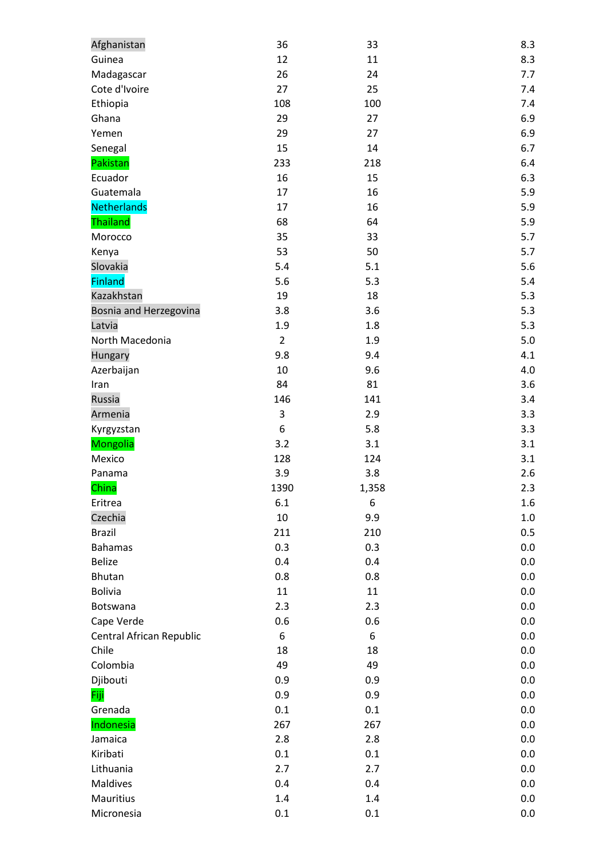| Afghanistan              | 36             | 33    | 8.3     |
|--------------------------|----------------|-------|---------|
| Guinea                   | 12             | 11    | 8.3     |
| Madagascar               | 26             | 24    | 7.7     |
| Cote d'Ivoire            | 27             | 25    | 7.4     |
| Ethiopia                 | 108            | 100   | 7.4     |
| Ghana                    | 29             | 27    | 6.9     |
| Yemen                    | 29             | 27    | 6.9     |
| Senegal                  | 15             | 14    | 6.7     |
| Pakistan                 | 233            | 218   | 6.4     |
| Ecuador                  | 16             | 15    | 6.3     |
| Guatemala                | 17             | 16    | 5.9     |
| Netherlands              | 17             | 16    | 5.9     |
| Thailand                 | 68             | 64    | 5.9     |
| Morocco                  | 35             | 33    | 5.7     |
| Kenya                    | 53             | 50    | 5.7     |
| Slovakia                 | 5.4            | 5.1   | 5.6     |
| <b>Finland</b>           | 5.6            | 5.3   | 5.4     |
| Kazakhstan               | 19             | 18    | 5.3     |
| Bosnia and Herzegovina   | 3.8            | 3.6   | 5.3     |
| Latvia                   | 1.9            | 1.8   | 5.3     |
| North Macedonia          | $\overline{2}$ | 1.9   | 5.0     |
| Hungary                  | 9.8            | 9.4   | 4.1     |
| Azerbaijan               | 10             | 9.6   | 4.0     |
| Iran                     | 84             | 81    | 3.6     |
| Russia                   | 146            | 141   | 3.4     |
| Armenia                  | $\mathsf 3$    | 2.9   | 3.3     |
| Kyrgyzstan               | 6              | 5.8   | 3.3     |
| <b>Mongolia</b>          | 3.2            | 3.1   | 3.1     |
| Mexico                   | 128            | 124   | 3.1     |
| Panama                   | 3.9            | 3.8   | 2.6     |
| China                    | 1390           | 1,358 | 2.3     |
| Eritrea                  | 6.1            | 6     | 1.6     |
| Czechia                  | 10             | 9.9   | $1.0\,$ |
| <b>Brazil</b>            | 211            | 210   | 0.5     |
| <b>Bahamas</b>           | 0.3            | 0.3   | 0.0     |
| <b>Belize</b>            | 0.4            | 0.4   | 0.0     |
| Bhutan                   | 0.8            | 0.8   | 0.0     |
| <b>Bolivia</b>           | 11             | 11    | 0.0     |
| Botswana                 | 2.3            | 2.3   | 0.0     |
| Cape Verde               | 0.6            | 0.6   | 0.0     |
| Central African Republic | 6              | 6     | 0.0     |
| Chile                    | 18             | 18    | 0.0     |
| Colombia                 | 49             | 49    | 0.0     |
| Djibouti                 | 0.9            | 0.9   | 0.0     |
| Fiji                     | 0.9            | 0.9   | 0.0     |
| Grenada                  | 0.1            | 0.1   | 0.0     |
| Indonesia                | 267            | 267   | 0.0     |
| Jamaica                  | 2.8            | 2.8   | 0.0     |
| Kiribati                 | 0.1            | 0.1   | 0.0     |
| Lithuania                | 2.7            | 2.7   | 0.0     |
| Maldives                 | 0.4            | 0.4   | 0.0     |
| Mauritius                | $1.4\,$        | 1.4   | 0.0     |
| Micronesia               | 0.1            | 0.1   | 0.0     |
|                          |                |       |         |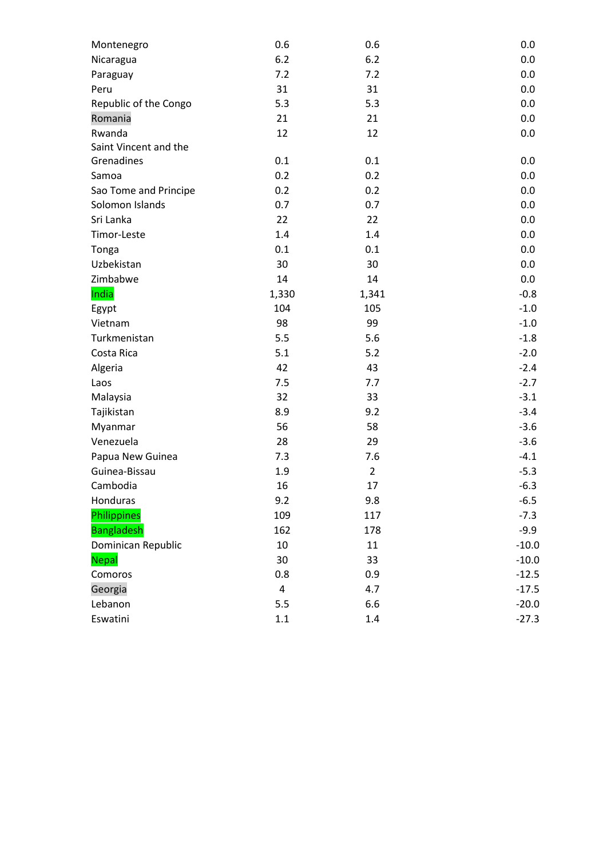| 6.2<br>6.2<br>0.0<br>Nicaragua<br>7.2<br>0.0<br>7.2<br>Paraguay<br>31<br>31<br>0.0<br>Peru<br>Republic of the Congo<br>0.0<br>5.3<br>5.3<br>Romania<br>21<br>21<br>0.0<br>Rwanda<br>12<br>12<br>0.0<br>Saint Vincent and the<br>Grenadines<br>0.1<br>0.1<br>0.0<br>0.2<br>0.2<br>0.0<br>Samoa<br>Sao Tome and Principe<br>0.2<br>0.2<br>0.0<br>Solomon Islands<br>0.7<br>0.7<br>0.0<br>Sri Lanka<br>22<br>22<br>0.0<br>Timor-Leste<br>1.4<br>0.0<br>1.4<br>0.1<br>0.1<br>0.0<br>Tonga<br>30<br>Uzbekistan<br>30<br>0.0<br>14<br>Zimbabwe<br>14<br>0.0<br>India<br>1,330<br>$-0.8$<br>1,341<br>104<br>105<br>$-1.0$<br>Egypt<br>98<br>99<br>$-1.0$<br>Vietnam<br>Turkmenistan<br>5.5<br>5.6<br>$-1.8$<br>$-2.0$<br>Costa Rica<br>5.1<br>5.2<br>Algeria<br>42<br>$-2.4$<br>43<br>$-2.7$<br>7.5<br>Laos<br>7.7<br>$-3.1$<br>Malaysia<br>32<br>33<br>$-3.4$<br>8.9<br>Tajikistan<br>9.2<br>$-3.6$<br>56<br>58<br>Myanmar<br>$-3.6$<br>28<br>29<br>Venezuela<br>$-4.1$<br>Papua New Guinea<br>7.3<br>7.6<br>Guinea-Bissau<br>1.9<br>$\overline{2}$<br>$-5.3$<br>16<br>$-6.3$<br>Cambodia<br>17<br>Honduras<br>$-6.5$<br>9.2<br>9.8<br>Philippines<br>109<br>$-7.3$<br>117<br><b>Bangladesh</b><br>162<br>$-9.9$<br>178<br>Dominican Republic<br>10<br>11<br>$-10.0$<br><b>Nepal</b><br>30<br>33<br>$-10.0$<br>Comoros<br>0.8<br>$-12.5$<br>0.9<br>Georgia<br>$\pmb{4}$<br>4.7<br>$-17.5$ | Montenegro | 0.6 | 0.6 | 0.0     |
|-------------------------------------------------------------------------------------------------------------------------------------------------------------------------------------------------------------------------------------------------------------------------------------------------------------------------------------------------------------------------------------------------------------------------------------------------------------------------------------------------------------------------------------------------------------------------------------------------------------------------------------------------------------------------------------------------------------------------------------------------------------------------------------------------------------------------------------------------------------------------------------------------------------------------------------------------------------------------------------------------------------------------------------------------------------------------------------------------------------------------------------------------------------------------------------------------------------------------------------------------------------------------------------------------------------------------------------------------------------------------------------|------------|-----|-----|---------|
|                                                                                                                                                                                                                                                                                                                                                                                                                                                                                                                                                                                                                                                                                                                                                                                                                                                                                                                                                                                                                                                                                                                                                                                                                                                                                                                                                                                     |            |     |     |         |
|                                                                                                                                                                                                                                                                                                                                                                                                                                                                                                                                                                                                                                                                                                                                                                                                                                                                                                                                                                                                                                                                                                                                                                                                                                                                                                                                                                                     |            |     |     |         |
|                                                                                                                                                                                                                                                                                                                                                                                                                                                                                                                                                                                                                                                                                                                                                                                                                                                                                                                                                                                                                                                                                                                                                                                                                                                                                                                                                                                     |            |     |     |         |
|                                                                                                                                                                                                                                                                                                                                                                                                                                                                                                                                                                                                                                                                                                                                                                                                                                                                                                                                                                                                                                                                                                                                                                                                                                                                                                                                                                                     |            |     |     |         |
|                                                                                                                                                                                                                                                                                                                                                                                                                                                                                                                                                                                                                                                                                                                                                                                                                                                                                                                                                                                                                                                                                                                                                                                                                                                                                                                                                                                     |            |     |     |         |
|                                                                                                                                                                                                                                                                                                                                                                                                                                                                                                                                                                                                                                                                                                                                                                                                                                                                                                                                                                                                                                                                                                                                                                                                                                                                                                                                                                                     |            |     |     |         |
|                                                                                                                                                                                                                                                                                                                                                                                                                                                                                                                                                                                                                                                                                                                                                                                                                                                                                                                                                                                                                                                                                                                                                                                                                                                                                                                                                                                     |            |     |     |         |
|                                                                                                                                                                                                                                                                                                                                                                                                                                                                                                                                                                                                                                                                                                                                                                                                                                                                                                                                                                                                                                                                                                                                                                                                                                                                                                                                                                                     |            |     |     |         |
|                                                                                                                                                                                                                                                                                                                                                                                                                                                                                                                                                                                                                                                                                                                                                                                                                                                                                                                                                                                                                                                                                                                                                                                                                                                                                                                                                                                     |            |     |     |         |
|                                                                                                                                                                                                                                                                                                                                                                                                                                                                                                                                                                                                                                                                                                                                                                                                                                                                                                                                                                                                                                                                                                                                                                                                                                                                                                                                                                                     |            |     |     |         |
|                                                                                                                                                                                                                                                                                                                                                                                                                                                                                                                                                                                                                                                                                                                                                                                                                                                                                                                                                                                                                                                                                                                                                                                                                                                                                                                                                                                     |            |     |     |         |
|                                                                                                                                                                                                                                                                                                                                                                                                                                                                                                                                                                                                                                                                                                                                                                                                                                                                                                                                                                                                                                                                                                                                                                                                                                                                                                                                                                                     |            |     |     |         |
|                                                                                                                                                                                                                                                                                                                                                                                                                                                                                                                                                                                                                                                                                                                                                                                                                                                                                                                                                                                                                                                                                                                                                                                                                                                                                                                                                                                     |            |     |     |         |
|                                                                                                                                                                                                                                                                                                                                                                                                                                                                                                                                                                                                                                                                                                                                                                                                                                                                                                                                                                                                                                                                                                                                                                                                                                                                                                                                                                                     |            |     |     |         |
|                                                                                                                                                                                                                                                                                                                                                                                                                                                                                                                                                                                                                                                                                                                                                                                                                                                                                                                                                                                                                                                                                                                                                                                                                                                                                                                                                                                     |            |     |     |         |
|                                                                                                                                                                                                                                                                                                                                                                                                                                                                                                                                                                                                                                                                                                                                                                                                                                                                                                                                                                                                                                                                                                                                                                                                                                                                                                                                                                                     |            |     |     |         |
|                                                                                                                                                                                                                                                                                                                                                                                                                                                                                                                                                                                                                                                                                                                                                                                                                                                                                                                                                                                                                                                                                                                                                                                                                                                                                                                                                                                     |            |     |     |         |
|                                                                                                                                                                                                                                                                                                                                                                                                                                                                                                                                                                                                                                                                                                                                                                                                                                                                                                                                                                                                                                                                                                                                                                                                                                                                                                                                                                                     |            |     |     |         |
|                                                                                                                                                                                                                                                                                                                                                                                                                                                                                                                                                                                                                                                                                                                                                                                                                                                                                                                                                                                                                                                                                                                                                                                                                                                                                                                                                                                     |            |     |     |         |
|                                                                                                                                                                                                                                                                                                                                                                                                                                                                                                                                                                                                                                                                                                                                                                                                                                                                                                                                                                                                                                                                                                                                                                                                                                                                                                                                                                                     |            |     |     |         |
|                                                                                                                                                                                                                                                                                                                                                                                                                                                                                                                                                                                                                                                                                                                                                                                                                                                                                                                                                                                                                                                                                                                                                                                                                                                                                                                                                                                     |            |     |     |         |
|                                                                                                                                                                                                                                                                                                                                                                                                                                                                                                                                                                                                                                                                                                                                                                                                                                                                                                                                                                                                                                                                                                                                                                                                                                                                                                                                                                                     |            |     |     |         |
|                                                                                                                                                                                                                                                                                                                                                                                                                                                                                                                                                                                                                                                                                                                                                                                                                                                                                                                                                                                                                                                                                                                                                                                                                                                                                                                                                                                     |            |     |     |         |
|                                                                                                                                                                                                                                                                                                                                                                                                                                                                                                                                                                                                                                                                                                                                                                                                                                                                                                                                                                                                                                                                                                                                                                                                                                                                                                                                                                                     |            |     |     |         |
|                                                                                                                                                                                                                                                                                                                                                                                                                                                                                                                                                                                                                                                                                                                                                                                                                                                                                                                                                                                                                                                                                                                                                                                                                                                                                                                                                                                     |            |     |     |         |
|                                                                                                                                                                                                                                                                                                                                                                                                                                                                                                                                                                                                                                                                                                                                                                                                                                                                                                                                                                                                                                                                                                                                                                                                                                                                                                                                                                                     |            |     |     |         |
|                                                                                                                                                                                                                                                                                                                                                                                                                                                                                                                                                                                                                                                                                                                                                                                                                                                                                                                                                                                                                                                                                                                                                                                                                                                                                                                                                                                     |            |     |     |         |
|                                                                                                                                                                                                                                                                                                                                                                                                                                                                                                                                                                                                                                                                                                                                                                                                                                                                                                                                                                                                                                                                                                                                                                                                                                                                                                                                                                                     |            |     |     |         |
|                                                                                                                                                                                                                                                                                                                                                                                                                                                                                                                                                                                                                                                                                                                                                                                                                                                                                                                                                                                                                                                                                                                                                                                                                                                                                                                                                                                     |            |     |     |         |
|                                                                                                                                                                                                                                                                                                                                                                                                                                                                                                                                                                                                                                                                                                                                                                                                                                                                                                                                                                                                                                                                                                                                                                                                                                                                                                                                                                                     |            |     |     |         |
|                                                                                                                                                                                                                                                                                                                                                                                                                                                                                                                                                                                                                                                                                                                                                                                                                                                                                                                                                                                                                                                                                                                                                                                                                                                                                                                                                                                     |            |     |     |         |
|                                                                                                                                                                                                                                                                                                                                                                                                                                                                                                                                                                                                                                                                                                                                                                                                                                                                                                                                                                                                                                                                                                                                                                                                                                                                                                                                                                                     |            |     |     |         |
|                                                                                                                                                                                                                                                                                                                                                                                                                                                                                                                                                                                                                                                                                                                                                                                                                                                                                                                                                                                                                                                                                                                                                                                                                                                                                                                                                                                     |            |     |     |         |
|                                                                                                                                                                                                                                                                                                                                                                                                                                                                                                                                                                                                                                                                                                                                                                                                                                                                                                                                                                                                                                                                                                                                                                                                                                                                                                                                                                                     |            |     |     |         |
|                                                                                                                                                                                                                                                                                                                                                                                                                                                                                                                                                                                                                                                                                                                                                                                                                                                                                                                                                                                                                                                                                                                                                                                                                                                                                                                                                                                     |            |     |     |         |
|                                                                                                                                                                                                                                                                                                                                                                                                                                                                                                                                                                                                                                                                                                                                                                                                                                                                                                                                                                                                                                                                                                                                                                                                                                                                                                                                                                                     |            |     |     |         |
|                                                                                                                                                                                                                                                                                                                                                                                                                                                                                                                                                                                                                                                                                                                                                                                                                                                                                                                                                                                                                                                                                                                                                                                                                                                                                                                                                                                     |            |     |     |         |
|                                                                                                                                                                                                                                                                                                                                                                                                                                                                                                                                                                                                                                                                                                                                                                                                                                                                                                                                                                                                                                                                                                                                                                                                                                                                                                                                                                                     | Lebanon    | 5.5 | 6.6 | $-20.0$ |
| Eswatini<br>$1.1\,$<br>1.4<br>$-27.3$                                                                                                                                                                                                                                                                                                                                                                                                                                                                                                                                                                                                                                                                                                                                                                                                                                                                                                                                                                                                                                                                                                                                                                                                                                                                                                                                               |            |     |     |         |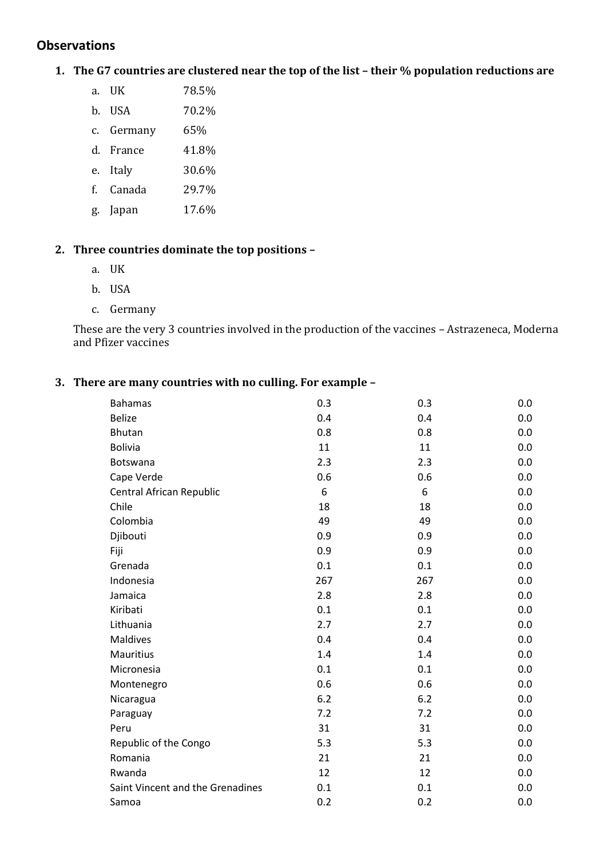# **Observations**

## 1. The G7 countries are clustered near the top of the list - their % population reductions are

- a. UK 78.5%
- b. USA 70.2%
- c. Germany 65%
- d. France 41.8%
- e. Italy 30.6%
- f. Canada 29.7%
- g. Japan 17.6%

#### **2. Three countries dominate the top positions –**

- a. UK
- b. USA
- c. Germany

These are the very 3 countries involved in the production of the vaccines – Astrazeneca, Moderna and Pfizer vaccines

#### **3. There are many countries with no culling. For example –**

| <b>Bahamas</b>                   | 0.3 | 0.3 | 0.0 |
|----------------------------------|-----|-----|-----|
| <b>Belize</b>                    | 0.4 | 0.4 | 0.0 |
| <b>Bhutan</b>                    | 0.8 | 0.8 | 0.0 |
| <b>Bolivia</b>                   | 11  | 11  | 0.0 |
| Botswana                         | 2.3 | 2.3 | 0.0 |
| Cape Verde                       | 0.6 | 0.6 | 0.0 |
| Central African Republic         | 6   | 6   | 0.0 |
| Chile                            | 18  | 18  | 0.0 |
| Colombia                         | 49  | 49  | 0.0 |
| Djibouti                         | 0.9 | 0.9 | 0.0 |
| Fiji                             | 0.9 | 0.9 | 0.0 |
| Grenada                          | 0.1 | 0.1 | 0.0 |
| Indonesia                        | 267 | 267 | 0.0 |
| Jamaica                          | 2.8 | 2.8 | 0.0 |
| Kiribati                         | 0.1 | 0.1 | 0.0 |
| Lithuania                        | 2.7 | 2.7 | 0.0 |
| Maldives                         | 0.4 | 0.4 | 0.0 |
| <b>Mauritius</b>                 | 1.4 | 1.4 | 0.0 |
| Micronesia                       | 0.1 | 0.1 | 0.0 |
| Montenegro                       | 0.6 | 0.6 | 0.0 |
| Nicaragua                        | 6.2 | 6.2 | 0.0 |
| Paraguay                         | 7.2 | 7.2 | 0.0 |
| Peru                             | 31  | 31  | 0.0 |
| Republic of the Congo            | 5.3 | 5.3 | 0.0 |
| Romania                          | 21  | 21  | 0.0 |
| Rwanda                           | 12  | 12  | 0.0 |
| Saint Vincent and the Grenadines | 0.1 | 0.1 | 0.0 |
| Samoa                            | 0.2 | 0.2 | 0.0 |
|                                  |     |     |     |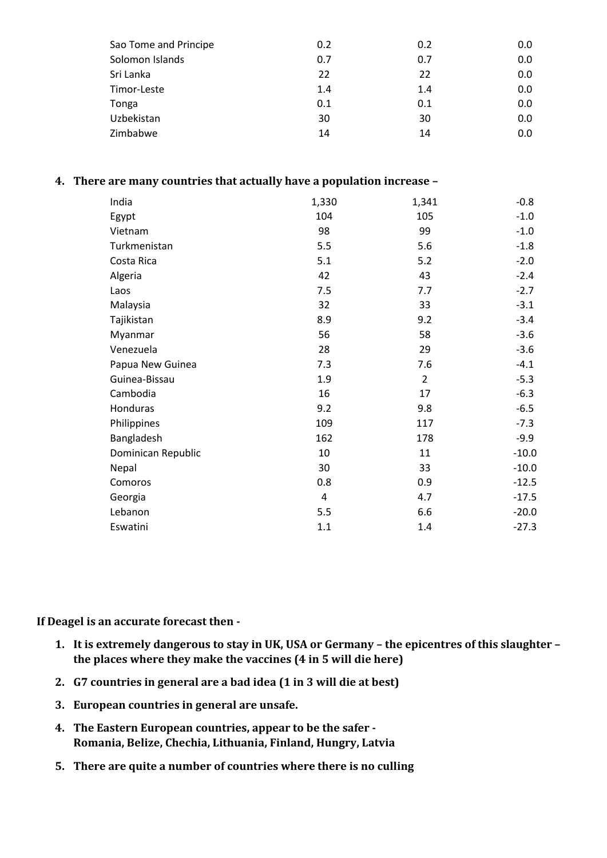| Sao Tome and Principe | 0.2 | 0.2 | 0.0 |
|-----------------------|-----|-----|-----|
| Solomon Islands       | 0.7 | 0.7 | 0.0 |
| Sri Lanka             | 22  | 22  | 0.0 |
| Timor-Leste           | 1.4 | 1.4 | 0.0 |
| Tonga                 | 0.1 | 0.1 | 0.0 |
| Uzbekistan            | 30  | 30  | 0.0 |
| Zimbabwe              | 14  | 14  | 0.0 |
|                       |     |     |     |

#### **4. There are many countries that actually have a population increase –**

| India              | 1,330 | 1,341          | $-0.8$  |
|--------------------|-------|----------------|---------|
| Egypt              | 104   | 105            | $-1.0$  |
| Vietnam            | 98    | 99             | $-1.0$  |
| Turkmenistan       | 5.5   | 5.6            | $-1.8$  |
| Costa Rica         | 5.1   | 5.2            | $-2.0$  |
| Algeria            | 42    | 43             | $-2.4$  |
| Laos               | 7.5   | 7.7            | $-2.7$  |
| Malaysia           | 32    | 33             | $-3.1$  |
| Tajikistan         | 8.9   | 9.2            | $-3.4$  |
| Myanmar            | 56    | 58             | $-3.6$  |
| Venezuela          | 28    | 29             | $-3.6$  |
| Papua New Guinea   | 7.3   | 7.6            | $-4.1$  |
| Guinea-Bissau      | 1.9   | $\overline{2}$ | $-5.3$  |
| Cambodia           | 16    | 17             | $-6.3$  |
| Honduras           | 9.2   | 9.8            | $-6.5$  |
| Philippines        | 109   | 117            | $-7.3$  |
| Bangladesh         | 162   | 178            | $-9.9$  |
| Dominican Republic | 10    | 11             | $-10.0$ |
| Nepal              | 30    | 33             | $-10.0$ |
| Comoros            | 0.8   | 0.9            | $-12.5$ |
| Georgia            | 4     | 4.7            | $-17.5$ |
| Lebanon            | 5.5   | 6.6            | $-20.0$ |
| Eswatini           | 1.1   | 1.4            | $-27.3$ |

**If Deagel is an accurate forecast then -**

- **1. It is extremely dangerous to stay in UK, USA or Germany – the epicentres of this slaughter – the places where they make the vaccines (4 in 5 will die here)**
- **2. G7 countries in general are a bad idea (1 in 3 will die at best)**
- **3. European countries in general are unsafe.**
- **4. The Eastern European countries, appear to be the safer - Romania, Belize, Chechia, Lithuania, Finland, Hungry, Latvia**
- **5. There are quite a number of countries where there is no culling**